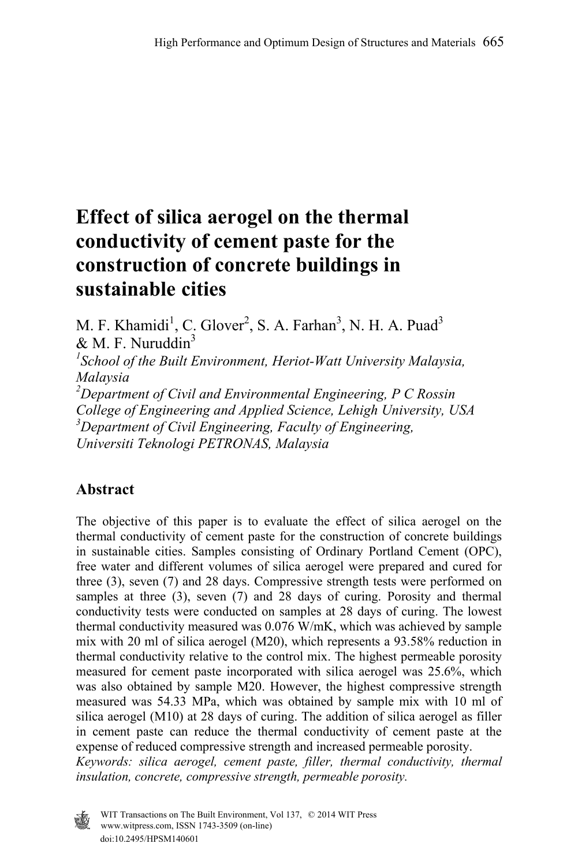# **Effect of silica aerogel on the thermal conductivity of cement paste for the construction of concrete buildings in sustainable cities**

M. F. Khamidi<sup>1</sup>, C. Glover<sup>2</sup>, S. A. Farhan<sup>3</sup>, N. H. A. Puad<sup>3</sup>  $& M. F. Nuruddin<sup>3</sup>$ *1 School of the Built Environment, Heriot-Watt University Malaysia, Malaysia 2 Department of Civil and Environmental Engineering, P C Rossin College of Engineering and Applied Science, Lehigh University, USA 3 Department of Civil Engineering, Faculty of Engineering, Universiti Teknologi PETRONAS, Malaysia* 

# **Abstract**

The objective of this paper is to evaluate the effect of silica aerogel on the thermal conductivity of cement paste for the construction of concrete buildings in sustainable cities. Samples consisting of Ordinary Portland Cement (OPC), free water and different volumes of silica aerogel were prepared and cured for three (3), seven (7) and 28 days. Compressive strength tests were performed on samples at three (3), seven (7) and 28 days of curing. Porosity and thermal conductivity tests were conducted on samples at 28 days of curing. The lowest thermal conductivity measured was 0.076 W/mK, which was achieved by sample mix with 20 ml of silica aerogel (M20), which represents a 93.58% reduction in thermal conductivity relative to the control mix. The highest permeable porosity measured for cement paste incorporated with silica aerogel was 25.6%, which was also obtained by sample M20. However, the highest compressive strength measured was 54.33 MPa, which was obtained by sample mix with 10 ml of silica aerogel (M10) at 28 days of curing. The addition of silica aerogel as filler in cement paste can reduce the thermal conductivity of cement paste at the expense of reduced compressive strength and increased permeable porosity. *Keywords: silica aerogel, cement paste, filler, thermal conductivity, thermal* 

*insulation, concrete, compressive strength, permeable porosity.* 



doi:10.2495/HPSM140601 www.witpress.com, ISSN 1743-3509 (on-line) WIT Transactions on The Built Environment, Vol 137, © 2014 WIT Press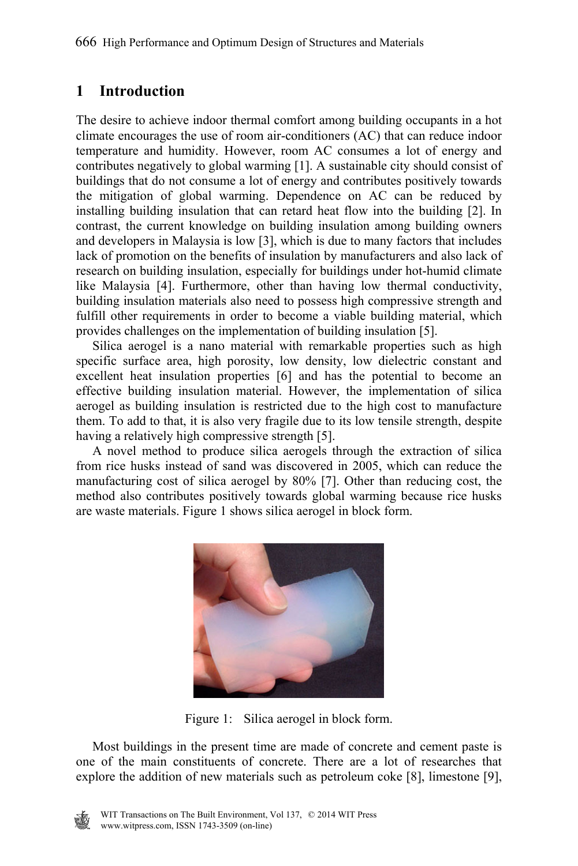## **1 Introduction**

The desire to achieve indoor thermal comfort among building occupants in a hot climate encourages the use of room air-conditioners (AC) that can reduce indoor temperature and humidity. However, room AC consumes a lot of energy and contributes negatively to global warming [1]. A sustainable city should consist of buildings that do not consume a lot of energy and contributes positively towards the mitigation of global warming. Dependence on AC can be reduced by installing building insulation that can retard heat flow into the building [2]. In contrast, the current knowledge on building insulation among building owners and developers in Malaysia is low [3], which is due to many factors that includes lack of promotion on the benefits of insulation by manufacturers and also lack of research on building insulation, especially for buildings under hot-humid climate like Malaysia [4]. Furthermore, other than having low thermal conductivity, building insulation materials also need to possess high compressive strength and fulfill other requirements in order to become a viable building material, which provides challenges on the implementation of building insulation [5].

 Silica aerogel is a nano material with remarkable properties such as high specific surface area, high porosity, low density, low dielectric constant and excellent heat insulation properties [6] and has the potential to become an effective building insulation material. However, the implementation of silica aerogel as building insulation is restricted due to the high cost to manufacture them. To add to that, it is also very fragile due to its low tensile strength, despite having a relatively high compressive strength [5].

 A novel method to produce silica aerogels through the extraction of silica from rice husks instead of sand was discovered in 2005, which can reduce the manufacturing cost of silica aerogel by 80% [7]. Other than reducing cost, the method also contributes positively towards global warming because rice husks are waste materials. Figure 1 shows silica aerogel in block form.



Figure 1: Silica aerogel in block form.

 Most buildings in the present time are made of concrete and cement paste is one of the main constituents of concrete. There are a lot of researches that explore the addition of new materials such as petroleum coke [8], limestone [9],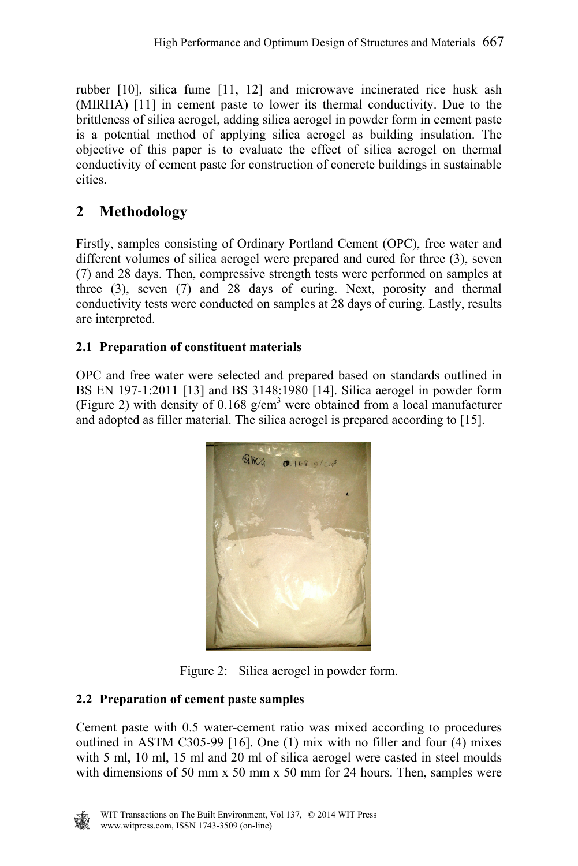rubber [10], silica fume [11, 12] and microwave incinerated rice husk ash (MIRHA) [11] in cement paste to lower its thermal conductivity. Due to the brittleness of silica aerogel, adding silica aerogel in powder form in cement paste is a potential method of applying silica aerogel as building insulation. The objective of this paper is to evaluate the effect of silica aerogel on thermal conductivity of cement paste for construction of concrete buildings in sustainable cities.

# **2 Methodology**

Firstly, samples consisting of Ordinary Portland Cement (OPC), free water and different volumes of silica aerogel were prepared and cured for three (3), seven (7) and 28 days. Then, compressive strength tests were performed on samples at three (3), seven (7) and 28 days of curing. Next, porosity and thermal conductivity tests were conducted on samples at 28 days of curing. Lastly, results are interpreted.

## **2.1 Preparation of constituent materials**

OPC and free water were selected and prepared based on standards outlined in BS EN 197-1:2011 [13] and BS 3148:1980 [14]. Silica aerogel in powder form (Figure 2) with density of 0.168  $g/cm<sup>3</sup>$  were obtained from a local manufacturer and adopted as filler material. The silica aerogel is prepared according to [15].



Figure 2: Silica aerogel in powder form.

## **2.2 Preparation of cement paste samples**

Cement paste with 0.5 water-cement ratio was mixed according to procedures outlined in ASTM C305-99 [16]. One (1) mix with no filler and four (4) mixes with 5 ml, 10 ml, 15 ml and 20 ml of silica aerogel were casted in steel moulds with dimensions of 50 mm x 50 mm x 50 mm for 24 hours. Then, samples were

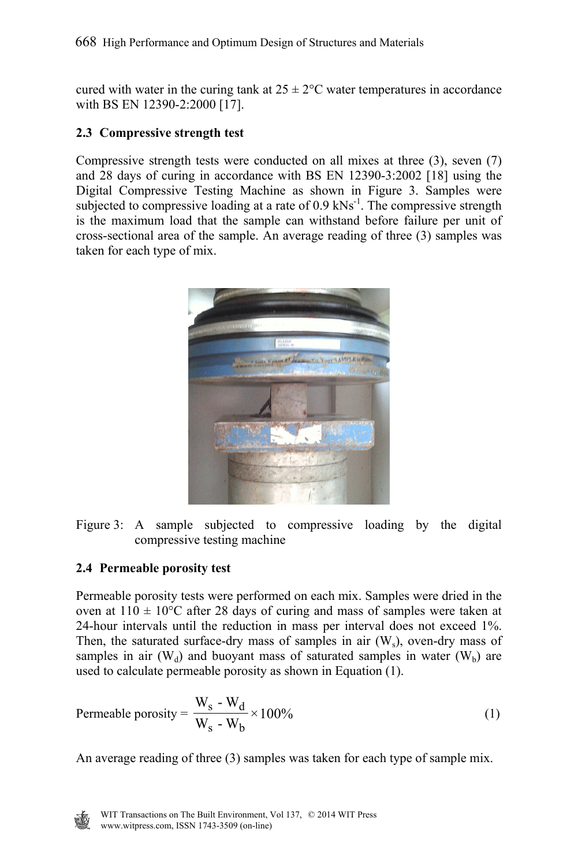cured with water in the curing tank at  $25 \pm 2$ °C water temperatures in accordance with BS EN 12390-2:2000 [17].

### **2.3 Compressive strength test**

Compressive strength tests were conducted on all mixes at three (3), seven (7) and 28 days of curing in accordance with BS EN 12390-3:2002 [18] using the Digital Compressive Testing Machine as shown in Figure 3. Samples were subjected to compressive loading at a rate of  $0.9 \text{ kNs}^{-1}$ . The compressive strength is the maximum load that the sample can withstand before failure per unit of cross-sectional area of the sample. An average reading of three (3) samples was taken for each type of mix.





#### **2.4 Permeable porosity test**

Permeable porosity tests were performed on each mix. Samples were dried in the oven at  $110 \pm 10^{\circ}$ C after 28 days of curing and mass of samples were taken at 24-hour intervals until the reduction in mass per interval does not exceed 1%. Then, the saturated surface-dry mass of samples in air  $(W_5)$ , oven-dry mass of samples in air  $(W_d)$  and buoyant mass of saturated samples in water  $(W_b)$  are used to calculate permeable porosity as shown in Equation (1).

Permeable porosity = 
$$
\frac{W_s - W_d}{W_s - W_b} \times 100\%
$$
 (1)

An average reading of three (3) samples was taken for each type of sample mix.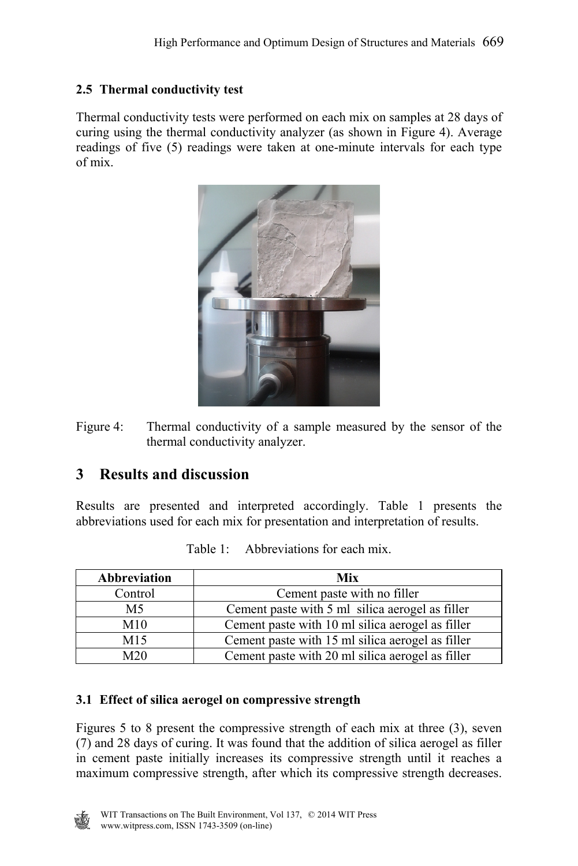## **2.5 Thermal conductivity test**

Thermal conductivity tests were performed on each mix on samples at 28 days of curing using the thermal conductivity analyzer (as shown in Figure 4). Average readings of five (5) readings were taken at one-minute intervals for each type of mix.



Figure 4: Thermal conductivity of a sample measured by the sensor of the thermal conductivity analyzer.

# **3 Results and discussion**

Results are presented and interpreted accordingly. Table 1 presents the abbreviations used for each mix for presentation and interpretation of results.

| Abbreviation    | Mix                                              |
|-----------------|--------------------------------------------------|
| Control         | Cement paste with no filler                      |
| M5              | Cement paste with 5 ml silica aerogel as filler  |
| M10             | Cement paste with 10 ml silica aerogel as filler |
| M <sub>15</sub> | Cement paste with 15 ml silica aerogel as filler |
| M <sub>20</sub> | Cement paste with 20 ml silica aerogel as filler |

Table  $1$ : Abbreviations for each mix.

#### **3.1 Effect of silica aerogel on compressive strength**

Figures 5 to 8 present the compressive strength of each mix at three (3), seven (7) and 28 days of curing. It was found that the addition of silica aerogel as filler in cement paste initially increases its compressive strength until it reaches a maximum compressive strength, after which its compressive strength decreases.

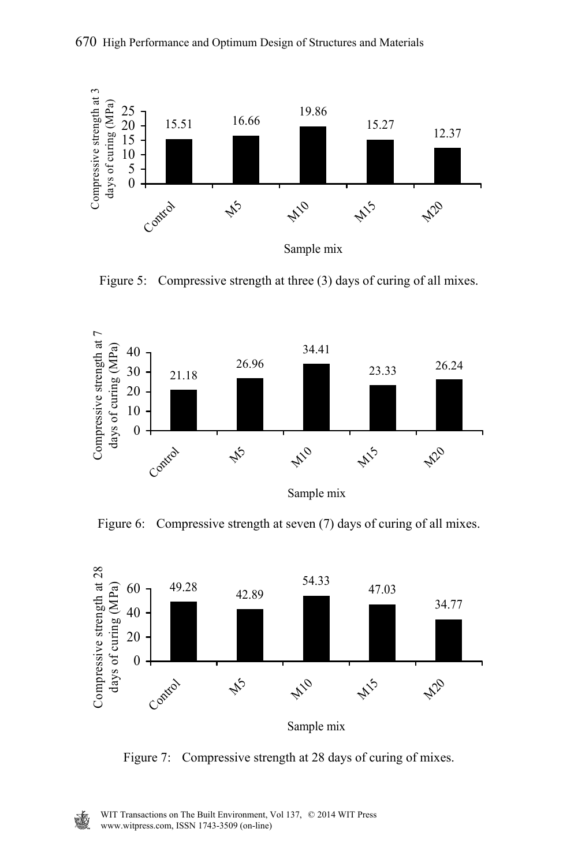

Figure 5: Compressive strength at three (3) days of curing of all mixes.



Figure 6: Compressive strength at seven (7) days of curing of all mixes.



Figure 7: Compressive strength at 28 days of curing of mixes.

W.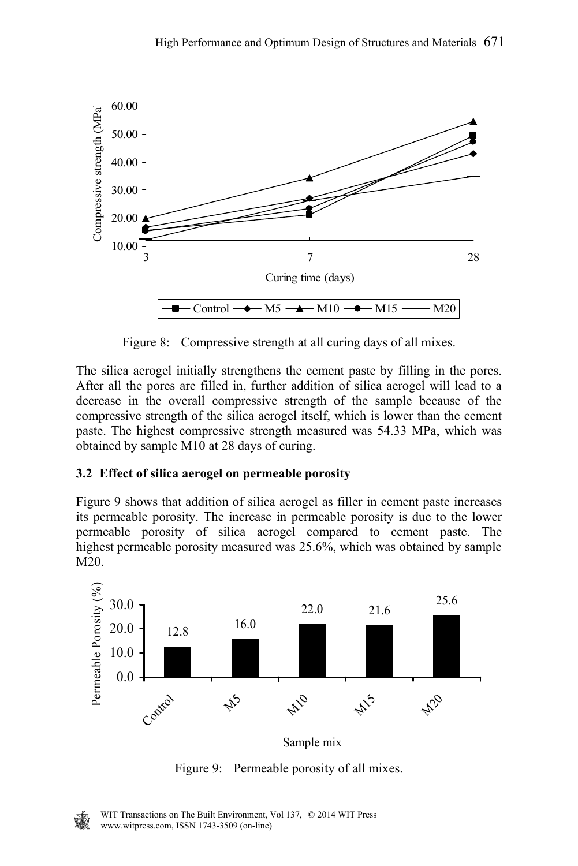

Figure 8: Compressive strength at all curing days of all mixes.

The silica aerogel initially strengthens the cement paste by filling in the pores. After all the pores are filled in, further addition of silica aerogel will lead to a decrease in the overall compressive strength of the sample because of the compressive strength of the silica aerogel itself, which is lower than the cement paste. The highest compressive strength measured was 54.33 MPa, which was obtained by sample M10 at 28 days of curing.

#### **3.2 Effect of silica aerogel on permeable porosity**

Figure 9 shows that addition of silica aerogel as filler in cement paste increases its permeable porosity. The increase in permeable porosity is due to the lower permeable porosity of silica aerogel compared to cement paste. The highest permeable porosity measured was 25.6%, which was obtained by sample  $\overline{M20}$ .



Figure 9: Permeable porosity of all mixes.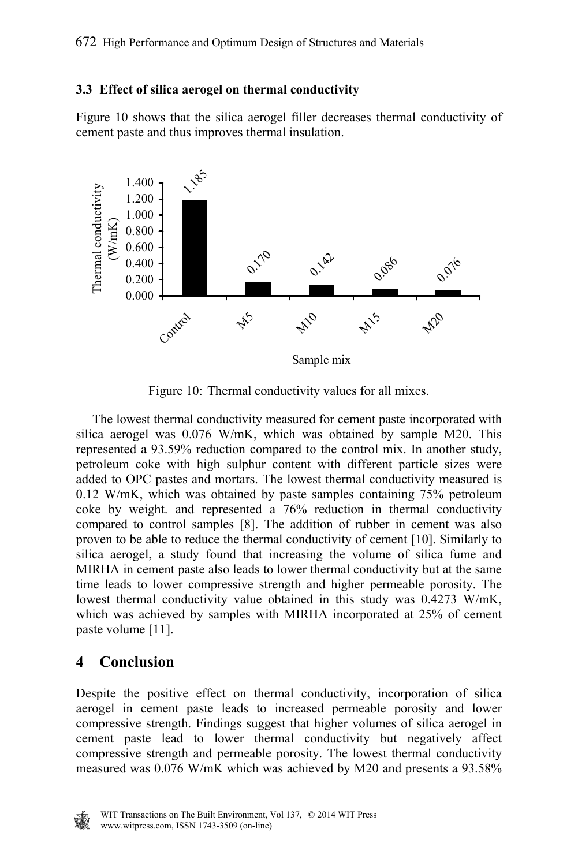#### **3.3 Effect of silica aerogel on thermal conductivity**

Figure 10 shows that the silica aerogel filler decreases thermal conductivity of cement paste and thus improves thermal insulation.



Figure 10: Thermal conductivity values for all mixes.

 The lowest thermal conductivity measured for cement paste incorporated with silica aerogel was 0.076 W/mK, which was obtained by sample M20. This represented a 93.59% reduction compared to the control mix. In another study, petroleum coke with high sulphur content with different particle sizes were added to OPC pastes and mortars. The lowest thermal conductivity measured is 0.12 W/mK, which was obtained by paste samples containing 75% petroleum coke by weight. and represented a 76% reduction in thermal conductivity compared to control samples [8]. The addition of rubber in cement was also proven to be able to reduce the thermal conductivity of cement [10]. Similarly to silica aerogel, a study found that increasing the volume of silica fume and MIRHA in cement paste also leads to lower thermal conductivity but at the same time leads to lower compressive strength and higher permeable porosity. The lowest thermal conductivity value obtained in this study was 0.4273 W/mK, which was achieved by samples with MIRHA incorporated at 25% of cement paste volume [11].

## **4 Conclusion**

Despite the positive effect on thermal conductivity, incorporation of silica aerogel in cement paste leads to increased permeable porosity and lower compressive strength. Findings suggest that higher volumes of silica aerogel in cement paste lead to lower thermal conductivity but negatively affect compressive strength and permeable porosity. The lowest thermal conductivity measured was 0.076 W/mK which was achieved by M20 and presents a 93.58%

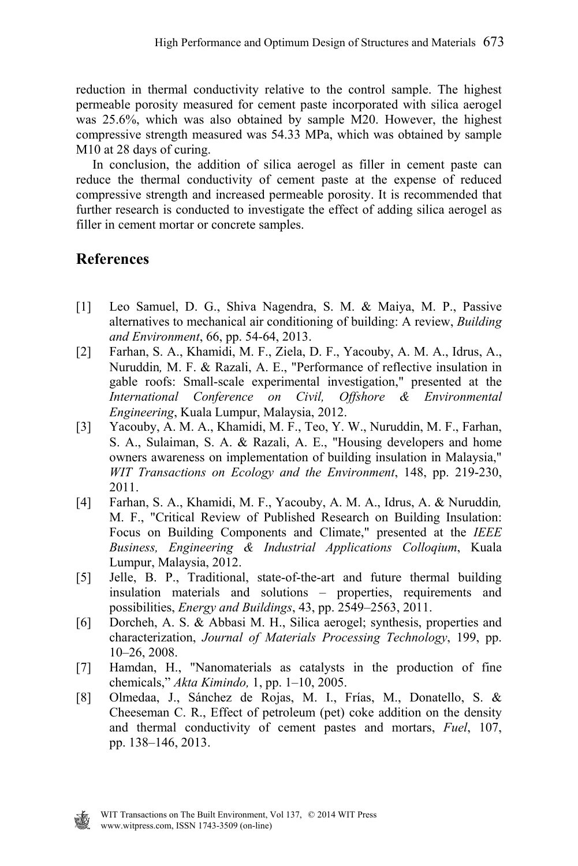reduction in thermal conductivity relative to the control sample. The highest permeable porosity measured for cement paste incorporated with silica aerogel was 25.6%, which was also obtained by sample M20. However, the highest compressive strength measured was 54.33 MPa, which was obtained by sample M10 at 28 days of curing.

 In conclusion, the addition of silica aerogel as filler in cement paste can reduce the thermal conductivity of cement paste at the expense of reduced compressive strength and increased permeable porosity. It is recommended that further research is conducted to investigate the effect of adding silica aerogel as filler in cement mortar or concrete samples.

# **References**

- [1] Leo Samuel, D. G., Shiva Nagendra, S. M. & Maiya, M. P., Passive alternatives to mechanical air conditioning of building: A review, *Building and Environment*, 66, pp. 54-64, 2013.
- [2] Farhan, S. A., Khamidi, M. F., Ziela, D. F., Yacouby, A. M. A., Idrus, A., Nuruddin*,* M. F. & Razali, A. E., "Performance of reflective insulation in gable roofs: Small-scale experimental investigation," presented at the *International Conference on Civil, Offshore & Environmental Engineering*, Kuala Lumpur, Malaysia, 2012.
- [3] Yacouby, A. M. A., Khamidi, M. F., Teo, Y. W., Nuruddin, M. F., Farhan, S. A., Sulaiman, S. A. & Razali, A. E., "Housing developers and home owners awareness on implementation of building insulation in Malaysia," *WIT Transactions on Ecology and the Environment*, 148, pp. 219-230, 2011.
- [4] Farhan, S. A., Khamidi, M. F., Yacouby, A. M. A., Idrus, A. & Nuruddin*,* M. F., "Critical Review of Published Research on Building Insulation: Focus on Building Components and Climate," presented at the *IEEE Business, Engineering & Industrial Applications Colloqium*, Kuala Lumpur, Malaysia, 2012.
- [5] Jelle, B. P., Traditional, state-of-the-art and future thermal building insulation materials and solutions – properties, requirements and possibilities, *Energy and Buildings*, 43, pp. 2549–2563, 2011.
- [6] Dorcheh, A. S. & Abbasi M. H., Silica aerogel; synthesis, properties and characterization, *Journal of Materials Processing Technology*, 199, pp. 10–26, 2008.
- [7] Hamdan, H., "Nanomaterials as catalysts in the production of fine chemicals," *Akta Kimindo,* 1, pp. 1–10, 2005.
- [8] Olmedaa, J., Sánchez de Rojas, M. I., Frías, M., Donatello, S. & Cheeseman C. R., Effect of petroleum (pet) coke addition on the density and thermal conductivity of cement pastes and mortars, *Fuel*, 107, pp. 138–146, 2013.